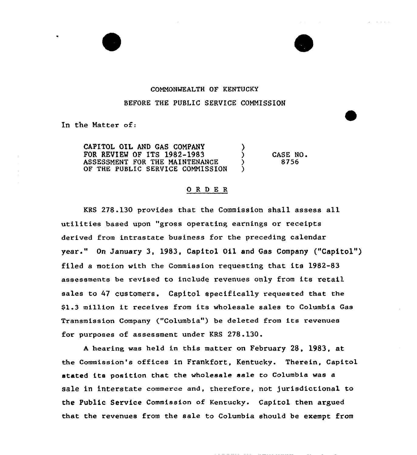### COMMONWEALTH OF KENTUCKY

#### BEFORE THE PUBLIC SERVICE COMMISSION

In the Matter of:

CAPITOL OIL AND GAS COMPANY FOR REVIEW OF ITS 1982-1983 ) ASSESSMENT FOR THE MAINTENANCE OF THE PUBLIC SERVICE COMMISSION CASE NO. 8756

#### O R D E R

KRS 278.130 provides that the Commission shall assess all utilities based upon "gross operating earnings or receipts derived from intrastate business for the preceding calendar year." On January 3, 1983, Capitol Oil and Gas Company ("Capitol") filed a motion with the Commission requesting that its 1982-83 assessments be revised to include revenues only from its retail sales to 47 customers. Capitol specifically requested that the \$1.3 million it receives from its wholesale sales to Columbia Gas Transmission Company ("Columbia" ) be deleted from its revenues for purposes of assessment under KRS 278.130.

<sup>A</sup> hearing was held in this matter on February 28, 1983, at the Commission's offices in Frankfort, Kentucky. Therein, Capitol stated its position that the wholesale sale to Columbia was a sale in interstate commerce and, therefore, not jurisdictional to the Public Service Commission of Kentucky. Capitol then argued that the revenues from the sale to Columbia should be exempt from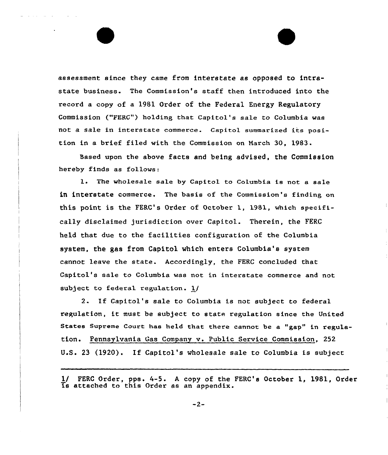assessment since they came from interstate as opposed to intrastate business. The Commission's staff then introduced into the record a copy of a 1981 Order of the Federal Energy Regulatory Commission ("FERC") holding that Capitol's sale to Columbia was not a sale in interstate commerce. Capitol summarized its position in a brief filed with the Commission on March 30, 1983.

Based upon the above facts and being advised, the Commission hereby finds as follows:

l. The wholesale sale by Capitol to Columbia is not <sup>a</sup> sale in interstate commerce. The basis of the Commission's finding on this point is the FERG's Order of October 1, 1981, which specifically disclaimed jurisdiction over Capitol. Therein, the FERC held that due to the facilities configuration of the Columbia system, the gas from Capitol which enters Columbia's system cannot leave the state. Accordingly, the FERC concluded that Capitol's sale to Columbia was not in interstate commerce and not subject to federal regulation. 1/

2. If Capitol's sale to Columbia is not subject to federal regulation, it must be subject to state regulation since the United States Supreme Court has held that there cannot be a "gap" in regulation. Pennsylvania Gas Company v. Public Service Commission, 252 U.S. <sup>23</sup> (1920). If Capitol's wholesale sale to Columbia is subject

 $-2-$ 

<sup>1/</sup> FERC Order, pps. 4-5. A copy of the FERC's October 1, 1981, Order is attached to this Order as an appendix.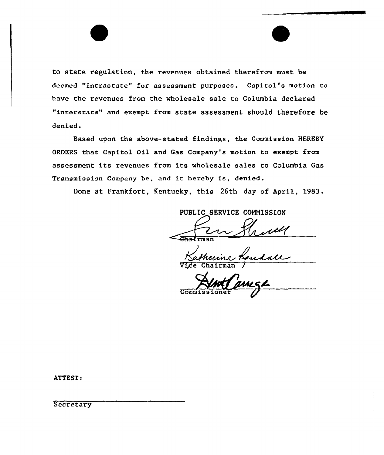to state regulation, the revenues obtained therefrom must be deemed "intrastate" for assessment purposes. Capitol's motion to have the revenues from the wholesale sale to Columbia declared "interstate" and exempt from state assessment should therefore be denied.

Based upon the above-stated findings, the Commission HEREBY ORDERS that Capitol Oil and Gas Company's motion to exempt from assessment its revenues from its wholesale sales to Columbia Gas Transmission Company be, and it hereby is, denied.

Done at Frankfort, Kentucky, this 26th day of April, 1983.

PUBLIC SERVICE COMMISSION  $\overline{\text{Chat}}$ rman Vice Chairman

Commissione

ATTEST:

**Secretary**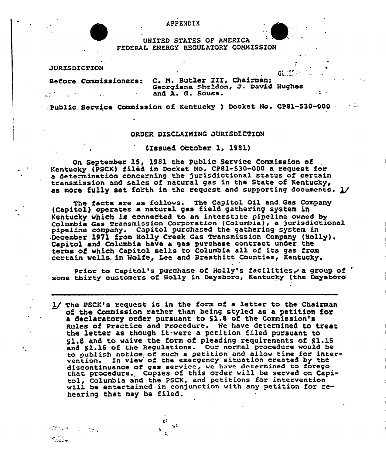UNITED STATES OF AMERICA FEDERAL ENERGY REGULATORY COMMISSION

JURISDICTION

 $22\%$  ,  $\gamma_{\rm{max}}$  ,  $22\%$  ,  $22\%$  , and

**KIMMAN** 

 $-25.4$ 

 $\sim 100$  MeVs  $\sim$ 

## **GELIER** Before Commissioners: C. M. Butler III, Chairman; Georgiana Sheldon, J., David Hughes and A. G. Sousa.

ler i

.Public. Service Commission of Kentucky ) Docket No. CP81-530-000

### ORDER DISCLAIMING JURISDICTION

('Zssuel October 1, 1981)

On September 15, 1981 the Public Service Commission of Kentucky (PSCK) filed in, Docket No. CP81-530-000 a request for a determination concerning the jurisdictional status of certain transmission and sales of natural gas in the State of Kentucky< as more fully set forth in the request and supporting documents.  $1/$ 

The facts are as follovs. The Capitol Oil and. Gas Company (Capitol) operates a natural gas field gathering system in Kentucky which is connected to an interstate pipeline ovned by Columbia Gas Transmission corporation (Columbia), a jurisdictional pipeLine company. Capitol purchased the gathering system in <sup>~</sup>December 1971 from Holly Creek Gas Transmission Company (Holly). Capitol and Columbia have a gas purchase contract under the terms of which Capitol sells to Columbia all of its gas from certain wells. in Wolfe, Lee and Breathitt Counties, Kentucky.

Prior to Capitol's purchase of Holly's facilities, a group of ' some thirty customers of Holly in Daysboro, Kentucky (the Daysboro

1/ The PSCK's request is in the form of a letter to the Chairman of the Commission rather than being styled as a petition for a declaratory order pursuant to Sl.s of the Commission's Rules of practice and procedure. Me have determined to treat the letter as though it.vere <sup>a</sup> petition filed pursuant to g},.8 and to waive the form of pleading requirements of S1.15 and \$1.16 of the Regulations. Our normal procedure vould be to publish notice of such a petition and allow time for intervention. In vfev of the emergency situation created by the vention. In view of the emergency situation created by the<br>discontinuance of gas service, we have determined to forego discontinuance or gas service, we have determined to foregothat procedure. Copies of this order will be served on Capi-<br>tol, Columbia and the PSCK, and petitions for intervention<br>will be entertained in conjunction with any will be entertained in conjunction with any petition for re-<br>hearing that may be filed.

> ~ ~  $\rightarrow$

 $\frac{3}{2}$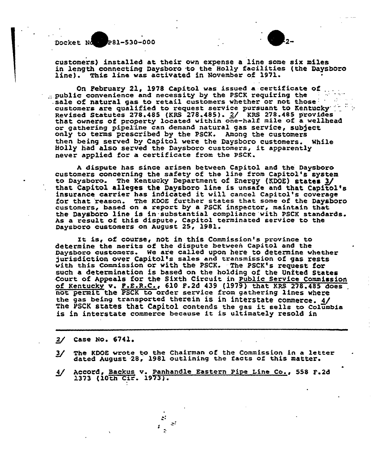

 $\blacktriangle$ 



customers) installed at their own expense a line some six miles in length connecting Daysboro to the Holly facilities (the Daysboro Line). This line was activated in November of 1971.

On February 21, 1978 Capitol was issued a certificate of ...<br>public convenience and necessity by the PSCK requiring the .sale of natural gas to retail customers whether or not those: are qualified to request service pursuant to Kentucky Revised Statutes 278,485 {KRS 278.485). 2/ KRS 278.4&5 provides that owners of property located within one-half mile of a weLLhead or gathering pipeline can demand natural gas service, subject onLy to terms prescribed by the PSCK. Among the customers then being served by Capitol were the Daysboro customers. While Holly had also served the Daysboro customers, it apparently never applied for a certificate from the PSCK.

<sup>A</sup> dispute has since arisen between Capitol and the Daysboro customers concerning the safety of the line from Capitol's system to Daysboro. The Kentucky Department of Energy (KDOE) states 3/<br>that Capitol alleges the Daysboro line is unsafe and that Capitol's insurance carrier has indicated it will cancel Capitol's coverage for that reason. The KDOE further states that some of the Daysboro customers, based on a report by a PSCK inspector, maintain that the Daysboro line is in.substantial compliance with PSCK standards. As a result, of this dispute, Capitol terminated service to the Daysboro customers on August 25, 1981.

It is, of course, not in this Commission's province to determine the merits of the dispute between Capitol and the Daysboro customers. He ar'e called upon here to determine whether jurisdiction over Capitol's sales and transmission of gas rests with this Commission or with the PSCK. The PSCK's request for such a determination is based on the holding of the United States .Court of Appeals for the Sixth Circuit in Public Service Commission of Kentucky v. P.E.R.C., 610 F.2d 439 (1979) that KRS 278.485 does . not permit the PSCK to order service from gathering lines where the gas being transported therein is in interstate commerce.  $4/$ The PSCK states that Capitol contends the gas it sells to Columbia<br>is in interstate commerce because it is ultimately resold in

2/ Case No. 6741.

- 3/ The KDOE wrote to the Chairman of the Commission in a letter dated August 28, 1981 outlining the facts of this matter.
- Accord, Backus v. Panhandle Eastern Pipe Line Co., 558 F.2d 1373 {10th Cir. 1973j.

 $\ddot{\phantom{0}}$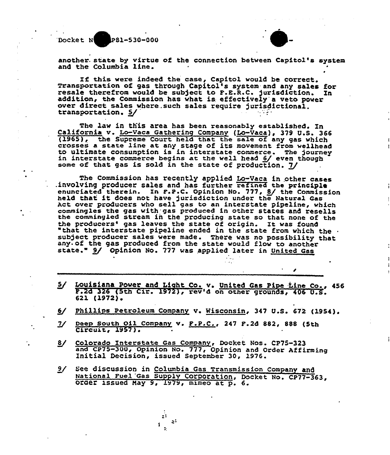Docket N P81-530-000



another state by virtue of the connection between Capitol's system and the Columbia line.

If this were indeed the case, Capitol would be correct.<br>Transportation of gas through Capitol's system and any sales for<br>resale therefrom would be subject to F.E.R.C. jurisdiction. In<br>addition, the Commission has what is e over direct sales where such sales require jurisdictional.<br>transportation.  $5/$ 

The law in this area has been reasonably established. In<br>California v. Lo-Vaca Gathering Company (Lo-Vaca), 379 U.S. 366<br>(1965), the Supreme Court held that the sale of any gas which (1909), the supreme Court held that the safe of any gas which to ultimate consumption is in interstate commerce. The journe<br>in interstate commerce begins at the well head 6/ even though in interstate commerce begins at the well head  $6/$  even though some of that gas is sold in the state of production.  $7/$ 

The Commission has recently applied Lo-Vaca in other cases .involving producer sales and has further refined the principle enunciated therein. In F.P.C. Opinion No. 777, 8/ the Commission held that it does not have jurisdiction under the Natural Gas Act over producers vho sell gas to an interstate pipeline, which commingles the gas with gas produced in other states and resells<br>the commingled stream in the producing state so that none of the<br>the producers' gas leaves the state of origin. It was found "that the interstate pipeline ended in the state from which the subject producer sales were made. There was no possibility that any of the gas produced from the state would flow to another state." 9/ Opinion No. 777 was applied later in United Gas

- $5/$  Louisiana Power and Light Co. v. United Gas Pipe tine Co., 456 F.2d 326 (5th Cir. 1972), rev'd on other grounds, 406 U.S. 621 (1972).
- 6/ Phillips Petroleum Company v. Wisconsin, 347 U.S. 672 (1954).
- 7/ Deep South Oil Company v. F.P.C., 247 F.2d 882, 888 (5th Circuit, 1957).
- 8/ Colorado Interstate Gas Company, Docket Nos. CP75-323 and CP75-300+ Opinion No. 777< Opinion and Order Affirming Initial Decision, issued September 30, 1976.
- 9/ See discussion in Columbia Gas Transmission Company and<br>National Fuel Gas Supply Corporation, Docket No. CP77-363,<br>Order issued May 9, L979, mimeo at p. 6.

 $\mathbb{R}^3$  $\mathcal{Z}^2$ 

 $\frac{4}{3}$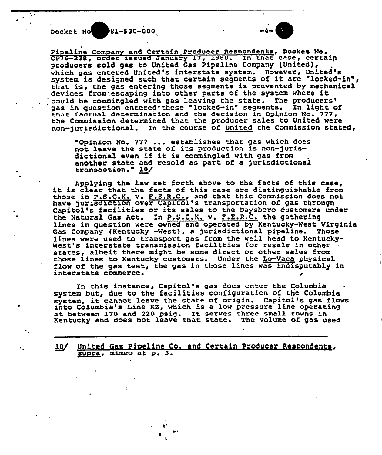Docket No 81-530-000

L



Pipeline Company and Certain Producer Respondents, Docket No. CP76-238, order issued January 17, 1980. In that case, certain producers sold gas to United Gas Pipeline Company (United), which gas entered United's interstate system. However, United's system is designed such that certain segments of it are "locked-in", that is, the gas entering those segments is prevented by mechanical devices fromesscaping into other parts of the system where it<br>could be commingled with gas leaving the state. The producers' gas in question entered these "locked-in" segments. In light of that factual determination and the decision in Opinion No. 777, the Commission determined that. the producer sales to United vere non-jurisdictional. In the course of United the Commission stated,

"Opinion No. 777 ... establishes that gas which does not leave the state of its production is non-jurisdictional even if it is commingled with gas from another state and resold as part, of a jurisdictional another state an<br>transaction." <u>10</u>

Applying the law set forth above to the facts of this case, it is clear that the facts of this case are distinguishable from those in P.S.C.K. v. F.E.R.C., and that this Commission does not have jurisdiction over Capitol's transportation of gas through Capitol's facilities or.its sales to the Daysboro customers under the Natural Gas Act. Xn P.S.C.K. v. F.E.R.C. the gathering lines in question were owned and operated by Kentucky-West Virginia Gas Company (Kentucky -West), a jurisdictional pipeline. Those lines were used to transport gas from the well head to Kentucky-<br>West's interstate transmission facilities for resale in other states, albeit there might be some direct or other sales from those lines to Kentucky customers. Under the Lo-Vaca physical flow of the gas test, the gas in those lines was indisputably in interstate commerce.

In this instance, Capitol's gas does enter the Columbia system but, due to the facilities configuration of the Columbia system but, que to the racilities configuration of the Columbia<br>system, it cannot leave the state of origin. Capitol's gas flows system, it cannot reave the state of origin. Capitor's gas filled at between 170 and <sup>220</sup> psig. It serves three sma11 towns in Kentucky and does not leave that state. The volume of gas used

10/ United Gas Pipeline Co. and Certain Producer Respondents, supra, mimeo at p. 3.

> £š  $\simeq$